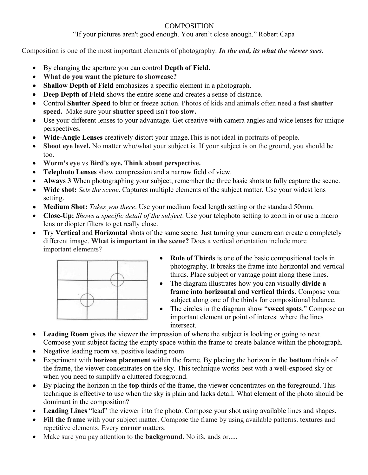## **COMPOSITION**

"If your pictures aren't good enough. You aren't close enough." Robert Capa

Composition is one of the most important elements of photography. *In the end, its what the viewer sees.*

- By changing the aperture you can control **Depth of Field.**
- **What do you want the picture to showcase?**
- **Shallow Depth of Field** emphasizes a specific element in a photograph.
- **Deep Depth of Field** shows the entire scene and creates a sense of distance.
- Control **Shutter Speed** to blur or freeze action. Photos of kids and animals often need a **fast shutter speed.** Make sure your **shutter speed** isn't **too slow.**
- Use your different lenses to your advantage. Get creative with camera angles and wide lenses for unique perspectives.
- **Wide-Angle Lenses** creatively distort your image.This is not ideal in portraits of people.
- **Shoot eye level.** No matter who/what your subject is. If your subject is on the ground, you should be too.
- **Worm's eye** vs **Bird's eye. Think about perspective.**
- **Telephoto Lenses** show compression and a narrow field of view.
- **Always 3** When photographing your subject, remember the three basic shots to fully capture the scene.
- **Wide shot:** *Sets the scene*. Captures multiple elements of the subject matter. Use your widest lens setting.
- Medium Shot: *Takes you there*. Use your medium focal length setting or the standard 50mm.
- **Close-Up:** *Shows a specific detail of the subject*. Use your telephoto setting to zoom in or use a macro lens or diopter filters to get really close.
- Try **Vertical** and **Horizontal** shots of the same scene. Just turning your camera can create a completely different image. **What is important in the scene?** Does a vertical orientation include more important elements?



- **Rule of Thirds** is one of the basic compositional tools in photography. It breaks the frame into horizontal and vertical thirds. Place subject or vantage point along these lines.
- The diagram illustrates how you can visually **divide a frame into horizontal and vertical thirds**. Compose your subject along one of the thirds for compositional balance.
- The circles in the diagram show "**sweet spots**." Compose an important element or point of interest where the lines intersect.
- **Leading Room** gives the viewer the impression of where the subject is looking or going to next. Compose your subject facing the empty space within the frame to create balance within the photograph.
- Negative leading room vs. positive leading room
- Experiment with **horizon placement** within the frame. By placing the horizon in the **bottom** thirds of the frame, the viewer concentrates on the sky. This technique works best with a well-exposed sky or when you need to simplify a cluttered foreground.
- By placing the horizon in the **top** thirds of the frame, the viewer concentrates on the foreground. This technique is effective to use when the sky is plain and lacks detail. What element of the photo should be dominant in the composition?
- **Leading Lines** "lead" the viewer into the photo. Compose your shot using available lines and shapes.
- **Fill the frame** with your subject matter. Compose the frame by using available patterns. textures and repetitive elements. Every **corner** matters.
- Make sure you pay attention to the **background.** No ifs, ands or.....